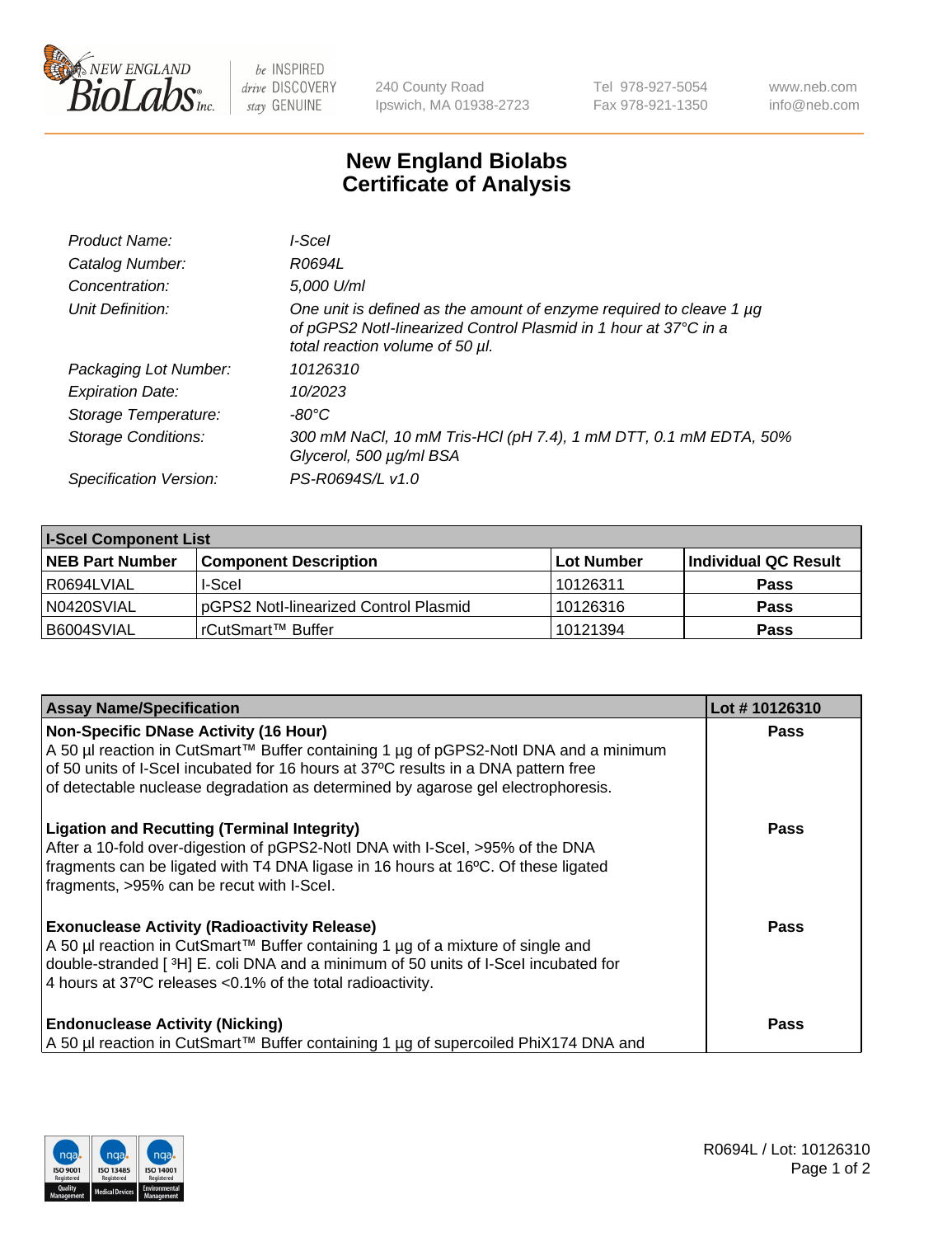

 $be$  INSPIRED drive DISCOVERY stay GENUINE

240 County Road Ipswich, MA 01938-2723 Tel 978-927-5054 Fax 978-921-1350 www.neb.com info@neb.com

## **New England Biolabs Certificate of Analysis**

| Product Name:           | I-Scel                                                                                                                                                                    |
|-------------------------|---------------------------------------------------------------------------------------------------------------------------------------------------------------------------|
| Catalog Number:         | R0694L                                                                                                                                                                    |
| Concentration:          | 5,000 U/ml                                                                                                                                                                |
| Unit Definition:        | One unit is defined as the amount of enzyme required to cleave 1 µg<br>of pGPS2 Notl-linearized Control Plasmid in 1 hour at 37°C in a<br>total reaction volume of 50 µl. |
| Packaging Lot Number:   | 10126310                                                                                                                                                                  |
| <b>Expiration Date:</b> | 10/2023                                                                                                                                                                   |
| Storage Temperature:    | -80°C                                                                                                                                                                     |
| Storage Conditions:     | 300 mM NaCl, 10 mM Tris-HCl (pH 7.4), 1 mM DTT, 0.1 mM EDTA, 50%<br>Glycerol, 500 µg/ml BSA                                                                               |
| Specification Version:  | PS-R0694S/L v1.0                                                                                                                                                          |

| <b>I-Scel Component List</b> |                                        |            |                      |  |
|------------------------------|----------------------------------------|------------|----------------------|--|
| <b>NEB Part Number</b>       | <b>Component Description</b>           | Lot Number | Individual QC Result |  |
| R0694LVIAL                   | I-Scel                                 | 10126311   | <b>Pass</b>          |  |
| N0420SVIAL                   | IpGPS2 Notl-linearized Control Plasmid | 10126316   | <b>Pass</b>          |  |
| B6004SVIAL                   | l rCutSmart™ Buffer_                   | 10121394   | <b>Pass</b>          |  |

| <b>Assay Name/Specification</b>                                                                                                                                       | Lot #10126310 |
|-----------------------------------------------------------------------------------------------------------------------------------------------------------------------|---------------|
| <b>Non-Specific DNase Activity (16 Hour)</b><br>A 50 µl reaction in CutSmart™ Buffer containing 1 µg of pGPS2-Notl DNA and a minimum                                  | <b>Pass</b>   |
| of 50 units of I-Scel incubated for 16 hours at 37°C results in a DNA pattern free                                                                                    |               |
| of detectable nuclease degradation as determined by agarose gel electrophoresis.                                                                                      |               |
| <b>Ligation and Recutting (Terminal Integrity)</b>                                                                                                                    | Pass          |
| After a 10-fold over-digestion of pGPS2-Notl DNA with I-Scel, >95% of the DNA<br>fragments can be ligated with T4 DNA ligase in 16 hours at 16°C. Of these ligated    |               |
| fragments, >95% can be recut with I-Scel.                                                                                                                             |               |
| <b>Exonuclease Activity (Radioactivity Release)</b>                                                                                                                   | <b>Pass</b>   |
| A 50 µl reaction in CutSmart™ Buffer containing 1 µg of a mixture of single and<br>double-stranded [3H] E. coli DNA and a minimum of 50 units of I-Scel incubated for |               |
| 4 hours at 37°C releases < 0.1% of the total radioactivity.                                                                                                           |               |
| <b>Endonuclease Activity (Nicking)</b>                                                                                                                                | <b>Pass</b>   |
| A 50 µl reaction in CutSmart™ Buffer containing 1 µg of supercoiled PhiX174 DNA and                                                                                   |               |